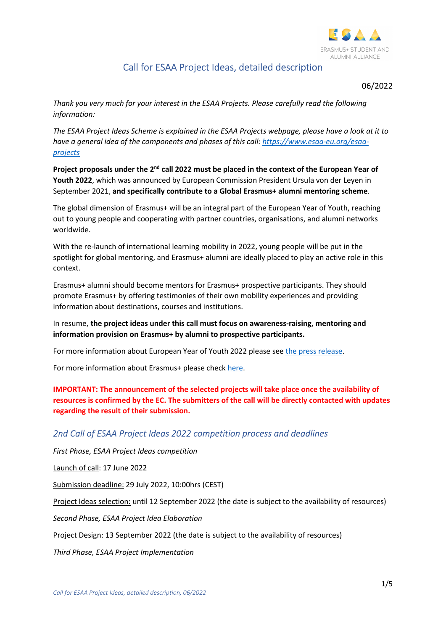

# Call for ESAA Project Ideas, detailed description

06/2022

Thank you very much for your interest in the ESAA Projects. Please carefully read the following information:

The ESAA Project Ideas Scheme is explained in the ESAA Projects webpage, please have a look at it to have a general idea of the components and phases of this call: https://www.esaa-eu.org/esaaprojects

Project proposals under the 2<sup>nd</sup> call 2022 must be placed in the context of the European Year of Youth 2022, which was announced by European Commission President Ursula von der Leyen in September 2021, and specifically contribute to a Global Erasmus+ alumni mentoring scheme.

The global dimension of Erasmus+ will be an integral part of the European Year of Youth, reaching out to young people and cooperating with partner countries, organisations, and alumni networks worldwide.

With the re-launch of international learning mobility in 2022, young people will be put in the spotlight for global mentoring, and Erasmus+ alumni are ideally placed to play an active role in this context.

Erasmus+ alumni should become mentors for Erasmus+ prospective participants. They should promote Erasmus+ by offering testimonies of their own mobility experiences and providing information about destinations, courses and institutions.

In resume, the project ideas under this call must focus on awareness-raising, mentoring and information provision on Erasmus+ by alumni to prospective participants.

For more information about European Year of Youth 2022 please see the press release.

For more information about Erasmus+ please check here.

IMPORTANT: The announcement of the selected projects will take place once the availability of resources is confirmed by the EC. The submitters of the call will be directly contacted with updates regarding the result of their submission.

# 2nd Call of ESAA Project Ideas 2022 competition process and deadlines

First Phase, ESAA Project Ideas competition

Launch of call: 17 June 2022

Submission deadline: 29 July 2022, 10:00hrs (CEST)

Project Ideas selection: until 12 September 2022 (the date is subject to the availability of resources)

Second Phase, ESAA Project Idea Elaboration

Project Design: 13 September 2022 (the date is subject to the availability of resources)

Third Phase, ESAA Project Implementation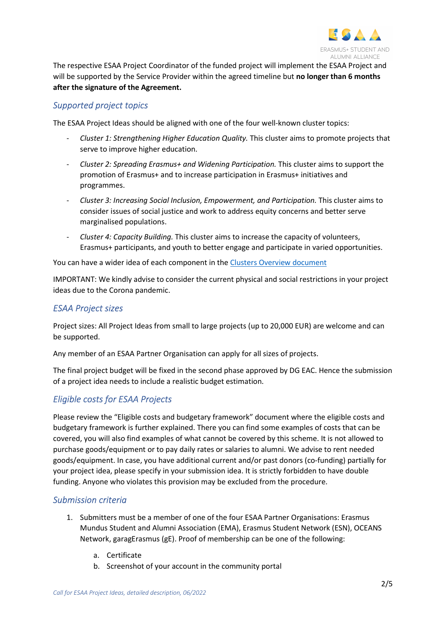

The respective ESAA Project Coordinator of the funded project will implement the ESAA Project and will be supported by the Service Provider within the agreed timeline but no longer than 6 months after the signature of the Agreement.

## Supported project topics

The ESAA Project Ideas should be aligned with one of the four well-known cluster topics:

- Cluster 1: Strengthening Higher Education Quality. This cluster aims to promote projects that serve to improve higher education.
- Cluster 2: Spreading Erasmus+ and Widening Participation. This cluster aims to support the promotion of Erasmus+ and to increase participation in Erasmus+ initiatives and programmes.
- Cluster 3: Increasing Social Inclusion, Empowerment, and Participation. This cluster aims to consider issues of social justice and work to address equity concerns and better serve marginalised populations.
- Cluster 4: Capacity Building. This cluster aims to increase the capacity of volunteers, Erasmus+ participants, and youth to better engage and participate in varied opportunities.

You can have a wider idea of each component in the Clusters Overview document

IMPORTANT: We kindly advise to consider the current physical and social restrictions in your project ideas due to the Corona pandemic.

## ESAA Project sizes

Project sizes: All Project Ideas from small to large projects (up to 20,000 EUR) are welcome and can be supported.

Any member of an ESAA Partner Organisation can apply for all sizes of projects.

The final project budget will be fixed in the second phase approved by DG EAC. Hence the submission of a project idea needs to include a realistic budget estimation.

# Eligible costs for ESAA Projects

Please review the "Eligible costs and budgetary framework" document where the eligible costs and budgetary framework is further explained. There you can find some examples of costs that can be covered, you will also find examples of what cannot be covered by this scheme. It is not allowed to purchase goods/equipment or to pay daily rates or salaries to alumni. We advise to rent needed goods/equipment. In case, you have additional current and/or past donors (co-funding) partially for your project idea, please specify in your submission idea. It is strictly forbidden to have double funding. Anyone who violates this provision may be excluded from the procedure.

#### Submission criteria

- 1. Submitters must be a member of one of the four ESAA Partner Organisations: Erasmus Mundus Student and Alumni Association (EMA), Erasmus Student Network (ESN), OCEANS Network, garagErasmus (gE). Proof of membership can be one of the following:
	- a. Certificate
	- b. Screenshot of your account in the community portal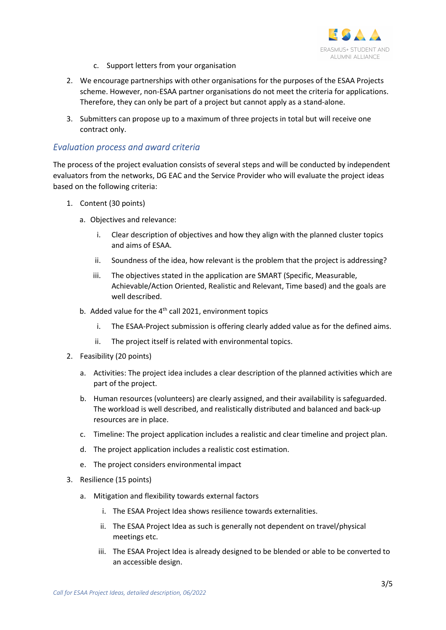

- c. Support letters from your organisation
- 2. We encourage partnerships with other organisations for the purposes of the ESAA Projects scheme. However, non-ESAA partner organisations do not meet the criteria for applications. Therefore, they can only be part of a project but cannot apply as a stand-alone.
- 3. Submitters can propose up to a maximum of three projects in total but will receive one contract only.

#### Evaluation process and award criteria

The process of the project evaluation consists of several steps and will be conducted by independent evaluators from the networks, DG EAC and the Service Provider who will evaluate the project ideas based on the following criteria:

- 1. Content (30 points)
	- a. Objectives and relevance:
		- i. Clear description of objectives and how they align with the planned cluster topics and aims of ESAA.
		- ii. Soundness of the idea, how relevant is the problem that the project is addressing?
		- iii. The objectives stated in the application are SMART (Specific, Measurable, Achievable/Action Oriented, Realistic and Relevant, Time based) and the goals are well described.
	- b. Added value for the  $4<sup>th</sup>$  call 2021, environment topics
		- i. The ESAA-Project submission is offering clearly added value as for the defined aims.
		- ii. The project itself is related with environmental topics.
- 2. Feasibility (20 points)
	- a. Activities: The project idea includes a clear description of the planned activities which are part of the project.
	- b. Human resources (volunteers) are clearly assigned, and their availability is safeguarded. The workload is well described, and realistically distributed and balanced and back-up resources are in place.
	- c. Timeline: The project application includes a realistic and clear timeline and project plan.
	- d. The project application includes a realistic cost estimation.
	- e. The project considers environmental impact
- 3. Resilience (15 points)
	- a. Mitigation and flexibility towards external factors
		- i. The ESAA Project Idea shows resilience towards externalities.
		- ii. The ESAA Project Idea as such is generally not dependent on travel/physical meetings etc.
		- iii. The ESAA Project Idea is already designed to be blended or able to be converted to an accessible design.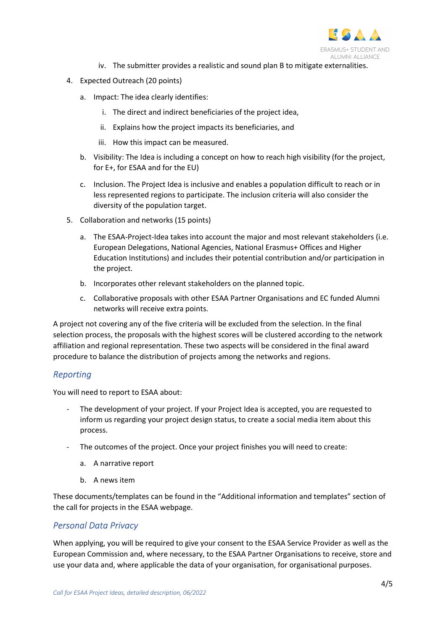

- iv. The submitter provides a realistic and sound plan B to mitigate externalities.
- 4. Expected Outreach (20 points)
	- a. Impact: The idea clearly identifies:
		- i. The direct and indirect beneficiaries of the project idea,
		- ii. Explains how the project impacts its beneficiaries, and
		- iii. How this impact can be measured.
	- b. Visibility: The Idea is including a concept on how to reach high visibility (for the project, for E+, for ESAA and for the EU)
	- c. Inclusion. The Project Idea is inclusive and enables a population difficult to reach or in less represented regions to participate. The inclusion criteria will also consider the diversity of the population target.
- 5. Collaboration and networks (15 points)
	- a. The ESAA-Project-Idea takes into account the major and most relevant stakeholders (i.e. European Delegations, National Agencies, National Erasmus+ Offices and Higher Education Institutions) and includes their potential contribution and/or participation in the project.
	- b. Incorporates other relevant stakeholders on the planned topic.
	- c. Collaborative proposals with other ESAA Partner Organisations and EC funded Alumni networks will receive extra points.

A project not covering any of the five criteria will be excluded from the selection. In the final selection process, the proposals with the highest scores will be clustered according to the network affiliation and regional representation. These two aspects will be considered in the final award procedure to balance the distribution of projects among the networks and regions.

#### Reporting

You will need to report to ESAA about:

- The development of your project. If your Project Idea is accepted, you are requested to inform us regarding your project design status, to create a social media item about this process.
- The outcomes of the project. Once your project finishes you will need to create:
	- a. A narrative report
	- b. A news item

These documents/templates can be found in the "Additional information and templates" section of the call for projects in the ESAA webpage.

#### Personal Data Privacy

When applying, you will be required to give your consent to the ESAA Service Provider as well as the European Commission and, where necessary, to the ESAA Partner Organisations to receive, store and use your data and, where applicable the data of your organisation, for organisational purposes.